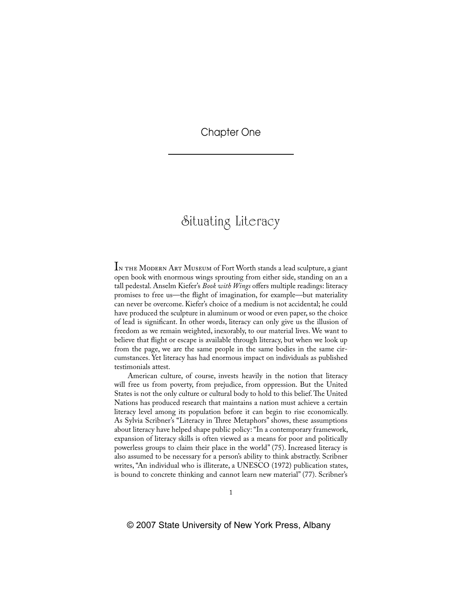# Chapter One

# Situating Literacy

IN THE MODERN ART MUSEUM of Fort Worth stands a lead sculpture, a giant open book with enormous wings sprouting from either side, standing on an a tall pedestal. Anselm Kiefer's *Book with Wings* offers multiple readings: literacy promises to free us—the flight of imagination, for example—but materiality can never be overcome. Kiefer's choice of a medium is not accidental; he could have produced the sculpture in aluminum or wood or even paper, so the choice of lead is significant. In other words, literacy can only give us the illusion of freedom as we remain weighted, inexorably, to our material lives. We want to believe that flight or escape is available through literacy, but when we look up from the page, we are the same people in the same bodies in the same circumstances. Yet literacy has had enormous impact on individuals as published testimonials attest.

American culture, of course, invests heavily in the notion that literacy will free us from poverty, from prejudice, from oppression. But the United States is not the only culture or cultural body to hold to this belief. The United Nations has produced research that maintains a nation must achieve a certain literacy level among its population before it can begin to rise economically. As Sylvia Scribner's "Literacy in Three Metaphors" shows, these assumptions about literacy have helped shape public policy: "In a contemporary framework, expansion of literacy skills is often viewed as a means for poor and politically powerless groups to claim their place in the world" (75). Increased literacy is also assumed to be necessary for a person's ability to think abstractly. Scribner writes, "An individual who is illiterate, a UNESCO (1972) publication states, is bound to concrete thinking and cannot learn new material" (77). Scribner's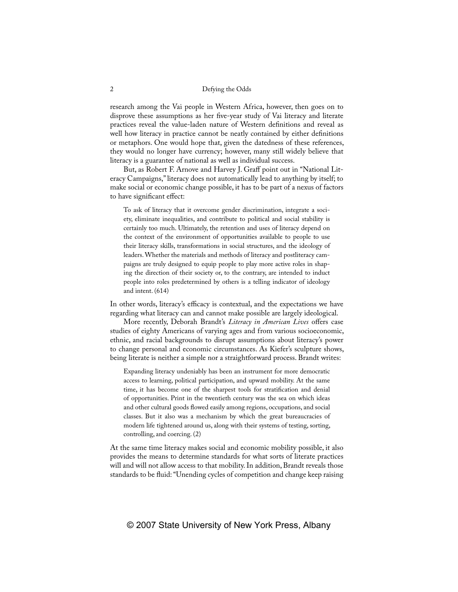research among the Vai people in Western Africa, however, then goes on to disprove these assumptions as her five-year study of Vai literacy and literate practices reveal the value-laden nature of Western definitions and reveal as well how literacy in practice cannot be neatly contained by either definitions or metaphors. One would hope that, given the datedness of these references, they would no longer have currency; however, many still widely believe that literacy is a guarantee of national as well as individual success.

But, as Robert F. Arnove and Harvey J. Graff point out in "National Literacy Campaigns," literacy does not automatically lead to anything by itself; to make social or economic change possible, it has to be part of a nexus of factors to have significant effect:

To ask of literacy that it overcome gender discrimination, integrate a society, eliminate inequalities, and contribute to political and social stability is certainly too much. Ultimately, the retention and uses of literacy depend on the context of the environment of opportunities available to people to use their literacy skills, transformations in social structures, and the ideology of leaders. Whether the materials and methods of literacy and postliteracy campaigns are truly designed to equip people to play more active roles in shaping the direction of their society or, to the contrary, are intended to induct people into roles predetermined by others is a telling indicator of ideology and intent. (614)

In other words, literacy's efficacy is contextual, and the expectations we have regarding what literacy can and cannot make possible are largely ideological.

More recently, Deborah Brandt's *Literacy in American Lives* offers case studies of eighty Americans of varying ages and from various socioeconomic, ethnic, and racial backgrounds to disrupt assumptions about literacy's power to change personal and economic circumstances. As Kiefer's sculpture shows, being literate is neither a simple nor a straightforward process. Brandt writes:

Expanding literacy undeniably has been an instrument for more democratic access to learning, political participation, and upward mobility. At the same time, it has become one of the sharpest tools for stratification and denial of opportunities. Print in the twentieth century was the sea on which ideas and other cultural goods flowed easily among regions, occupations, and social classes. But it also was a mechanism by which the great bureaucracies of modern life tightened around us, along with their systems of testing, sorting, controlling, and coercing. (2)

At the same time literacy makes social and economic mobility possible, it also provides the means to determine standards for what sorts of literate practices will and will not allow access to that mobility. In addition, Brandt reveals those standards to be fluid: "Unending cycles of competition and change keep raising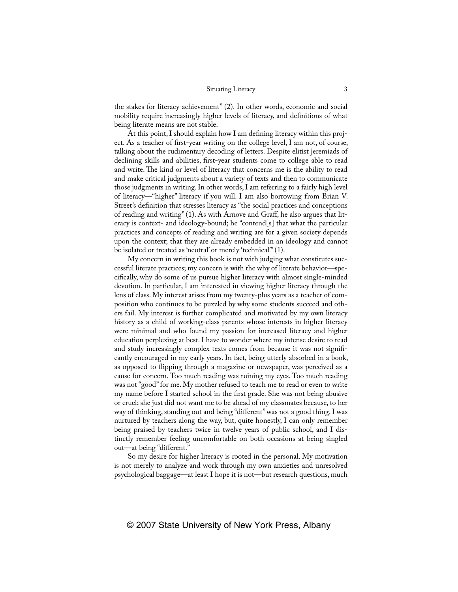the stakes for literacy achievement" (2). In other words, economic and social mobility require increasingly higher levels of literacy, and definitions of what being literate means are not stable.

At this point, I should explain how I am defining literacy within this project. As a teacher of first-year writing on the college level, I am not, of course, talking about the rudimentary decoding of letters. Despite elitist jeremiads of declining skills and abilities, first-year students come to college able to read and write. The kind or level of literacy that concerns me is the ability to read and make critical judgments about a variety of texts and then to communicate those judgments in writing. In other words, I am referring to a fairly high level of literacy—"higher" literacy if you will. I am also borrowing from Brian V. Street's definition that stresses literacy as "the social practices and conceptions of reading and writing" (1). As with Arnove and Graff , he also argues that literacy is context- and ideology-bound; he "contend[s] that what the particular practices and concepts of reading and writing are for a given society depends upon the context; that they are already embedded in an ideology and cannot be isolated or treated as 'neutral' or merely 'technical'" (1).

My concern in writing this book is not with judging what constitutes successful literate practices; my concern is with the why of literate behavior—specifically, why do some of us pursue higher literacy with almost single-minded devotion. In particular, I am interested in viewing higher literacy through the lens of class. My interest arises from my twenty-plus years as a teacher of composition who continues to be puzzled by why some students succeed and others fail. My interest is further complicated and motivated by my own literacy history as a child of working-class parents whose interests in higher literacy were minimal and who found my passion for increased literacy and higher education perplexing at best. I have to wonder where my intense desire to read and study increasingly complex texts comes from because it was not significantly encouraged in my early years. In fact, being utterly absorbed in a book, as opposed to flipping through a magazine or newspaper, was perceived as a cause for concern. Too much reading was ruining my eyes. Too much reading was not "good" for me. My mother refused to teach me to read or even to write my name before I started school in the first grade. She was not being abusive or cruel; she just did not want me to be ahead of my classmates because, to her way of thinking, standing out and being "different" was not a good thing. I was nurtured by teachers along the way, but, quite honestly, I can only remember being praised by teachers twice in twelve years of public school, and I distinctly remember feeling uncomfortable on both occasions at being singled out—at being "different."

So my desire for higher literacy is rooted in the personal. My motivation is not merely to analyze and work through my own anxieties and unresolved psychological baggage—at least I hope it is not—but research questions, much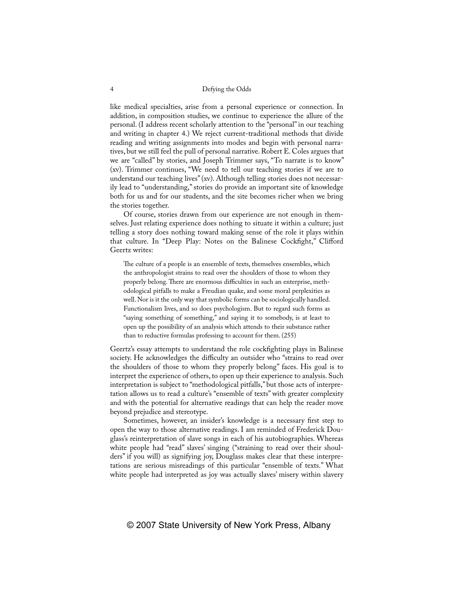like medical specialties, arise from a personal experience or connection. In addition, in composition studies, we continue to experience the allure of the personal. (I address recent scholarly attention to the "personal" in our teaching and writing in chapter 4.) We reject current-traditional methods that divide reading and writing assignments into modes and begin with personal narratives, but we still feel the pull of personal narrative. Robert E. Coles argues that we are "called" by stories, and Joseph Trimmer says, "To narrate is to know" (xv). Trimmer continues, "We need to tell our teaching stories if we are to understand our teaching lives" (xv). Although telling stories does not necessarily lead to "understanding," stories do provide an important site of knowledge both for us and for our students, and the site becomes richer when we bring the stories together.

Of course, stories drawn from our experience are not enough in themselves. Just relating experience does nothing to situate it within a culture; just telling a story does nothing toward making sense of the role it plays within that culture. In "Deep Play: Notes on the Balinese Cockfight," Clifford Geertz writes:

The culture of a people is an ensemble of texts, themselves ensembles, which the anthropologist strains to read over the shoulders of those to whom they properly belong. There are enormous difficulties in such an enterprise, methodological pitfalls to make a Freudian quake, and some moral perplexities as well. Nor is it the only way that symbolic forms can be sociologically handled. Functionalism lives, and so does psychologism. But to regard such forms as "saying something of something," and saying it to somebody, is at least to open up the possibility of an analysis which attends to their substance rather than to reductive formulas professing to account for them. (255)

Geertz's essay attempts to understand the role cockfighting plays in Balinese society. He acknowledges the difficulty an outsider who "strains to read over the shoulders of those to whom they properly belong" faces. His goal is to interpret the experience of others, to open up their experience to analysis. Such interpretation is subject to "methodological pitfalls," but those acts of interpretation allows us to read a culture's "ensemble of texts" with greater complexity and with the potential for alternative readings that can help the reader move beyond prejudice and stereotype.

Sometimes, however, an insider's knowledge is a necessary first step to open the way to those alternative readings. I am reminded of Frederick Douglass's reinterpretation of slave songs in each of his autobiographies. Whereas white people had "read" slaves' singing ("straining to read over their shoulders" if you will) as signifying joy, Douglass makes clear that these interpretations are serious misreadings of this particular "ensemble of texts." What white people had interpreted as joy was actually slaves' misery within slavery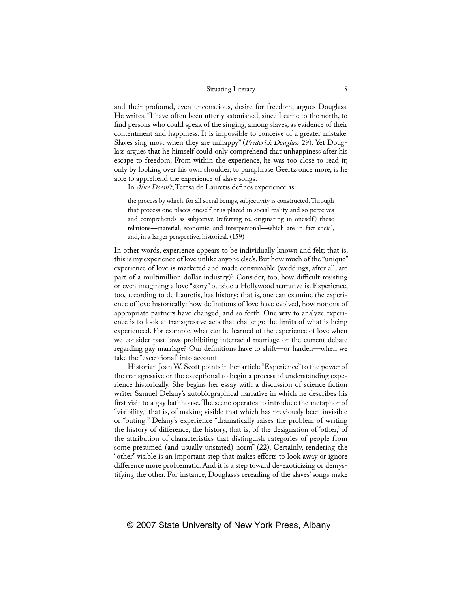and their profound, even unconscious, desire for freedom, argues Douglass. He writes, "I have often been utterly astonished, since I came to the north, to find persons who could speak of the singing, among slaves, as evidence of their contentment and happiness. It is impossible to conceive of a greater mistake. Slaves sing most when they are unhappy" (*Frederick Douglass* 29). Yet Douglass argues that he himself could only comprehend that unhappiness after his escape to freedom. From within the experience, he was too close to read it; only by looking over his own shoulder, to paraphrase Geertz once more, is he able to apprehend the experience of slave songs.

In *Alice Doesn't*, Teresa de Lauretis defines experience as:

the process by which, for all social beings, subjectivity is constructed. Through that process one places oneself or is placed in social reality and so perceives and comprehends as subjective (referring to, originating in oneself) those relations—material, economic, and interpersonal—which are in fact social, and, in a larger perspective, historical. (159)

In other words, experience appears to be individually known and felt; that is, this is my experience of love unlike anyone else's. But how much of the "unique" experience of love is marketed and made consumable (weddings, after all, are part of a multimillion dollar industry)? Consider, too, how difficult resisting or even imagining a love "story" outside a Hollywood narrative is. Experience, too, according to de Lauretis, has history; that is, one can examine the experience of love historically: how definitions of love have evolved, how notions of appropriate partners have changed, and so forth. One way to analyze experience is to look at transgressive acts that challenge the limits of what is being experienced. For example, what can be learned of the experience of love when we consider past laws prohibiting interracial marriage or the current debate regarding gay marriage? Our definitions have to shift—or harden—when we take the "exceptional" into account.

Historian Joan W. Scott points in her article "Experience" to the power of the transgressive or the exceptional to begin a process of understanding experience historically. She begins her essay with a discussion of science fiction writer Samuel Delany's autobiographical narrative in which he describes his first visit to a gay bathhouse. The scene operates to introduce the metaphor of "visibility," that is, of making visible that which has previously been invisible or "outing." Delany's experience "dramatically raises the problem of writing the history of difference, the history, that is, of the designation of 'other,' of the attribution of characteristics that distinguish categories of people from some presumed (and usually unstated) norm" (22). Certainly, rendering the "other" visible is an important step that makes efforts to look away or ignore difference more problematic. And it is a step toward de-exoticizing or demystifying the other. For instance, Douglass's rereading of the slaves' songs make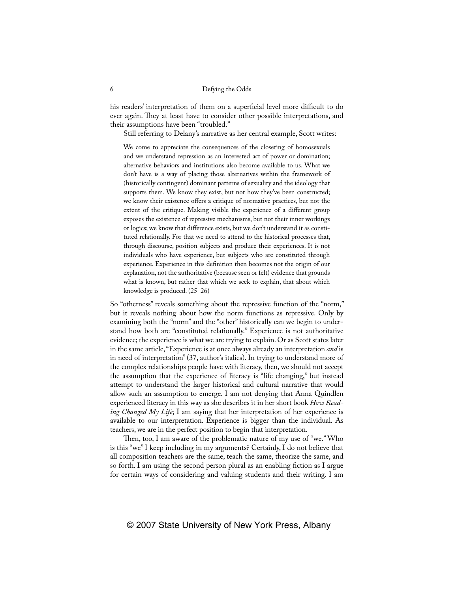his readers' interpretation of them on a superficial level more difficult to do ever again. They at least have to consider other possible interpretations, and their assumptions have been "troubled."

Still referring to Delany's narrative as her central example, Scott writes:

We come to appreciate the consequences of the closeting of homosexuals and we understand repression as an interested act of power or domination; alternative behaviors and institutions also become available to us. What we don't have is a way of placing those alternatives within the framework of (historically contingent) dominant patterns of sexuality and the ideology that supports them. We know they exist, but not how they've been constructed; we know their existence offers a critique of normative practices, but not the extent of the critique. Making visible the experience of a different group exposes the existence of repressive mechanisms, but not their inner workings or logics; we know that difference exists, but we don't understand it as constituted relationally. For that we need to attend to the historical processes that, through discourse, position subjects and produce their experiences. It is not individuals who have experience, but subjects who are constituted through experience. Experience in this definition then becomes not the origin of our explanation, not the authoritative (because seen or felt) evidence that grounds what is known, but rather that which we seek to explain, that about which knowledge is produced. (25–26)

So "otherness" reveals something about the repressive function of the "norm," but it reveals nothing about how the norm functions as repressive. Only by examining both the "norm" and the "other" historically can we begin to understand how both are "constituted relationally." Experience is not authoritative evidence; the experience is what we are trying to explain. Or as Scott states later in the same article, "Experience is at once always already an interpretation *and* is in need of interpretation" (37, author's italics). In trying to understand more of the complex relationships people have with literacy, then, we should not accept the assumption that the experience of literacy is "life changing," but instead attempt to understand the larger historical and cultural narrative that would allow such an assumption to emerge. I am not denying that Anna Quindlen experienced literacy in this way as she describes it in her short book *How Reading Changed My Life*; I am saying that her interpretation of her experience is available to our interpretation. Experience is bigger than the individual. As teachers, we are in the perfect position to begin that interpretation.

Then, too, I am aware of the problematic nature of my use of "we." Who is this "we" I keep including in my arguments? Certainly, I do not believe that all composition teachers are the same, teach the same, theorize the same, and so forth. I am using the second person plural as an enabling fiction as I argue for certain ways of considering and valuing students and their writing. I am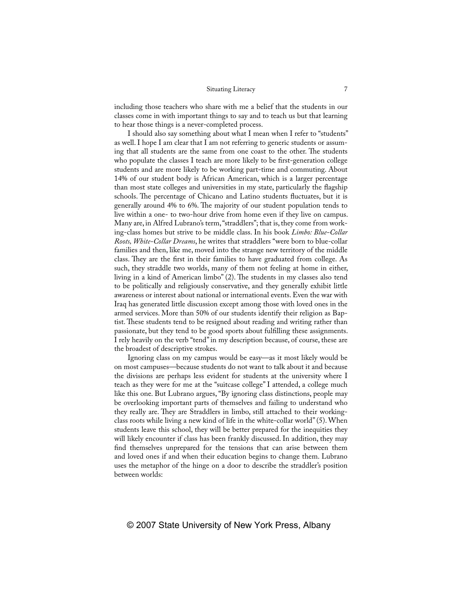including those teachers who share with me a belief that the students in our classes come in with important things to say and to teach us but that learning to hear those things is a never-completed process.

I should also say something about what I mean when I refer to "students" as well. I hope I am clear that I am not referring to generic students or assuming that all students are the same from one coast to the other. The students who populate the classes I teach are more likely to be first-generation college students and are more likely to be working part-time and commuting. About 14% of our student body is African American, which is a larger percentage than most state colleges and universities in my state, particularly the flagship schools. The percentage of Chicano and Latino students fluctuates, but it is generally around 4% to 6%. The majority of our student population tends to live within a one- to two-hour drive from home even if they live on campus. Many are, in Alfred Lubrano's term, "straddlers"; that is, they come from working-class homes but strive to be middle class. In his book *Limbo: Blue-Collar Roots, White-Collar Dreams*, he writes that straddlers "were born to blue-collar families and then, like me, moved into the strange new territory of the middle class. They are the first in their families to have graduated from college. As such, they straddle two worlds, many of them not feeling at home in either, living in a kind of American limbo" (2). The students in my classes also tend to be politically and religiously conservative, and they generally exhibit little awareness or interest about national or international events. Even the war with Iraq has generated little discussion except among those with loved ones in the armed services. More than 50% of our students identify their religion as Baptist. These students tend to be resigned about reading and writing rather than passionate, but they tend to be good sports about fulfilling these assignments. I rely heavily on the verb "tend" in my description because, of course, these are the broadest of descriptive strokes.

Ignoring class on my campus would be easy—as it most likely would be on most campuses—because students do not want to talk about it and because the divisions are perhaps less evident for students at the university where I teach as they were for me at the "suitcase college" I attended, a college much like this one. But Lubrano argues, "By ignoring class distinctions, people may be overlooking important parts of themselves and failing to understand who they really are. They are Straddlers in limbo, still attached to their workingclass roots while living a new kind of life in the white-collar world" (5). When students leave this school, they will be better prepared for the inequities they will likely encounter if class has been frankly discussed. In addition, they may find themselves unprepared for the tensions that can arise between them and loved ones if and when their education begins to change them. Lubrano uses the metaphor of the hinge on a door to describe the straddler's position between worlds: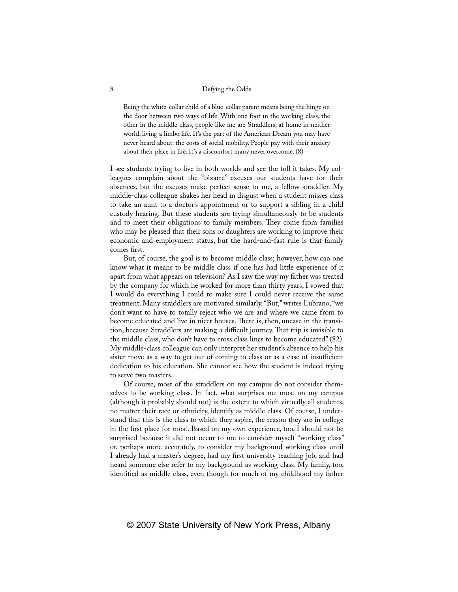Being the white-collar child of a blue-collar parent means being the hinge on the door between two ways of life. With one foot in the working class, the other in the middle class, people like me are Straddlers, at home in neither world, living a limbo life. It's the part of the American Dream you may have never heard about: the costs of social mobility. People pay with their anxiety about their place in life. It's a discomfort many never overcome. (8)

I see students trying to live in both worlds and see the toll it takes. My colleagues complain about the "bizarre" excuses our students have for their absences, but the excuses make perfect sense to me, a fellow straddler. My middle-class colleague shakes her head in disgust when a student misses class to take an aunt to a doctor's appointment or to support a sibling in a child custody hearing. But these students are trying simultaneously to be students and to meet their obligations to family members. They come from families who may be pleased that their sons or daughters are working to improve their economic and employment status, but the hard-and-fast rule is that family comes first.

But, of course, the goal is to become middle class; however, how can one know what it means to be middle class if one has had little experience of it apart from what appears on television? As I saw the way my father was treated by the company for which he worked for more than thirty years, I vowed that I would do everything I could to make sure I could never receive the same treatment. Many straddlers are motivated similarly. "But," writes Lubrano, "we don't want to have to totally reject who we are and where we came from to become educated and live in nicer houses. There is, then, unease in the transition, because Straddlers are making a difficult journey. That trip is invisible to the middle class, who don't have to cross class lines to become educated" (82). My middle-class colleague can only interpret her student's absence to help his sister move as a way to get out of coming to class or as a case of insufficient dedication to his education. She cannot see how the student is indeed trying to serve two masters.

Of course, most of the straddlers on my campus do not consider themselves to be working class. In fact, what surprises me most on my campus (although it probably should not) is the extent to which virtually all students, no matter their race or ethnicity, identify as middle class. Of course, I understand that this is the class to which they aspire, the reason they are in college in the first place for most. Based on my own experience, too, I should not be surprised because it did not occur to me to consider myself "working class" or, perhaps more accurately, to consider my background working class until I already had a master's degree, had my first university teaching job, and had heard someone else refer to my background as working class. My family, too, identified as middle class, even though for much of my childhood my father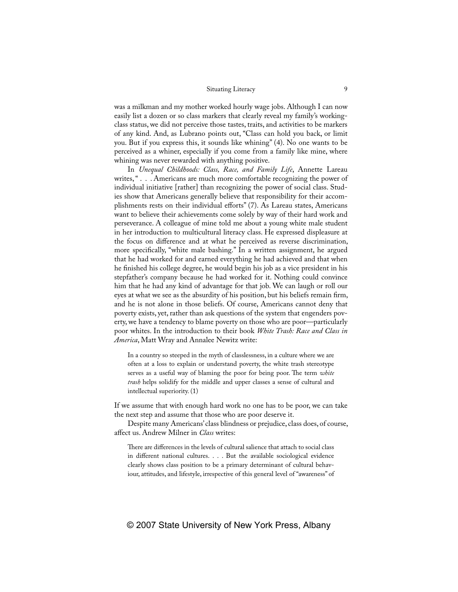was a milkman and my mother worked hourly wage jobs. Although I can now easily list a dozen or so class markers that clearly reveal my family's workingclass status, we did not perceive those tastes, traits, and activities to be markers of any kind. And, as Lubrano points out, "Class can hold you back, or limit you. But if you express this, it sounds like whining" (4). No one wants to be perceived as a whiner, especially if you come from a family like mine, where whining was never rewarded with anything positive.

In *Unequal Childhoods: Class, Race, and Family Life*, Annette Lareau writes, ". . . Americans are much more comfortable recognizing the power of individual initiative [rather] than recognizing the power of social class. Studies show that Americans generally believe that responsibility for their accomplishments rests on their individual efforts" (7). As Lareau states, Americans want to believe their achievements come solely by way of their hard work and perseverance. A colleague of mine told me about a young white male student in her introduction to multicultural literacy class. He expressed displeasure at the focus on difference and at what he perceived as reverse discrimination, more specifically, "white male bashing." In a written assignment, he argued that he had worked for and earned everything he had achieved and that when he finished his college degree, he would begin his job as a vice president in his stepfather's company because he had worked for it. Nothing could convince him that he had any kind of advantage for that job. We can laugh or roll our eyes at what we see as the absurdity of his position, but his beliefs remain firm, and he is not alone in those beliefs. Of course, Americans cannot deny that poverty exists, yet, rather than ask questions of the system that engenders poverty, we have a tendency to blame poverty on those who are poor—particularly poor whites. In the introduction to their book *White Trash: Race and Class in America*, Matt Wray and Annalee Newitz write:

In a country so steeped in the myth of classlessness, in a culture where we are often at a loss to explain or understand poverty, the white trash stereotype serves as a useful way of blaming the poor for being poor. The term *white trash* helps solidify for the middle and upper classes a sense of cultural and intellectual superiority. (1)

If we assume that with enough hard work no one has to be poor, we can take the next step and assume that those who are poor deserve it.

Despite many Americans' class blindness or prejudice, class does, of course, affect us. Andrew Milner in *Class* writes:

There are differences in the levels of cultural salience that attach to social class in different national cultures.  $\ldots$  But the available sociological evidence clearly shows class position to be a primary determinant of cultural behaviour, attitudes, and lifestyle, irrespective of this general level of "awareness" of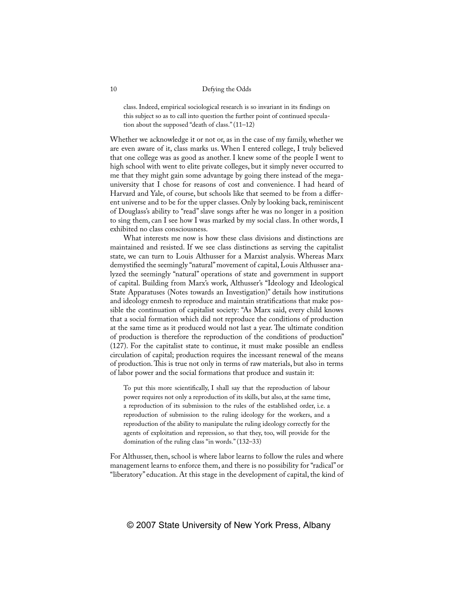class. Indeed, empirical sociological research is so invariant in its findings on this subject so as to call into question the further point of continued speculation about the supposed "death of class." (11–12)

Whether we acknowledge it or not or, as in the case of my family, whether we are even aware of it, class marks us. When I entered college, I truly believed that one college was as good as another. I knew some of the people I went to high school with went to elite private colleges, but it simply never occurred to me that they might gain some advantage by going there instead of the megauniversity that I chose for reasons of cost and convenience. I had heard of Harvard and Yale, of course, but schools like that seemed to be from a different universe and to be for the upper classes. Only by looking back, reminiscent of Douglass's ability to "read" slave songs after he was no longer in a position to sing them, can I see how I was marked by my social class. In other words, I exhibited no class consciousness.

What interests me now is how these class divisions and distinctions are maintained and resisted. If we see class distinctions as serving the capitalist state, we can turn to Louis Althusser for a Marxist analysis. Whereas Marx demystified the seemingly "natural" movement of capital, Louis Althusser analyzed the seemingly "natural" operations of state and government in support of capital. Building from Marx's work, Althusser's "Ideology and Ideological State Apparatuses (Notes towards an Investigation)" details how institutions and ideology enmesh to reproduce and maintain stratifications that make possible the continuation of capitalist society: "As Marx said, every child knows that a social formation which did not reproduce the conditions of production at the same time as it produced would not last a year. The ultimate condition of production is therefore the reproduction of the conditions of production" (127). For the capitalist state to continue, it must make possible an endless circulation of capital; production requires the incessant renewal of the means of production. This is true not only in terms of raw materials, but also in terms of labor power and the social formations that produce and sustain it:

To put this more scientifically, I shall say that the reproduction of labour power requires not only a reproduction of its skills, but also, at the same time, a reproduction of its submission to the rules of the established order, i.e. a reproduction of submission to the ruling ideology for the workers, and a reproduction of the ability to manipulate the ruling ideology correctly for the agents of exploitation and repression, so that they, too, will provide for the domination of the ruling class "in words." (132–33)

For Althusser, then, school is where labor learns to follow the rules and where management learns to enforce them, and there is no possibility for "radical" or "liberatory" education. At this stage in the development of capital, the kind of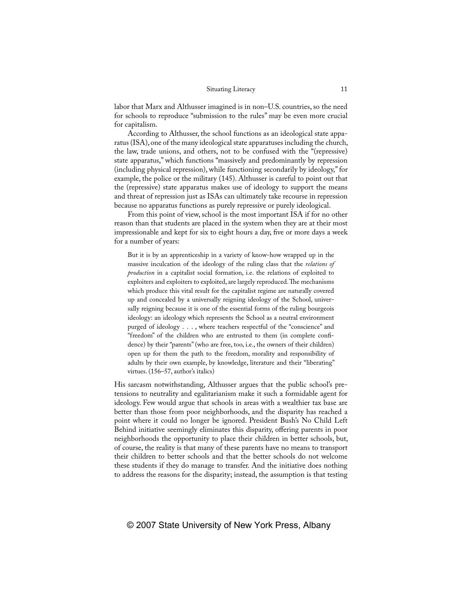labor that Marx and Althusser imagined is in non–U.S. countries, so the need for schools to reproduce "submission to the rules" may be even more crucial for capitalism.

According to Althusser, the school functions as an ideological state apparatus (ISA), one of the many ideological state apparatuses including the church, the law, trade unions, and others, not to be confused with the "(repressive) state apparatus," which functions "massively and predominantly by repression (including physical repression), while functioning secondarily by ideology," for example, the police or the military (145). Althusser is careful to point out that the (repressive) state apparatus makes use of ideology to support the means and threat of repression just as ISAs can ultimately take recourse in repression because no apparatus functions as purely repressive or purely ideological.

From this point of view, school is the most important ISA if for no other reason than that students are placed in the system when they are at their most impressionable and kept for six to eight hours a day, five or more days a week for a number of years:

But it is by an apprenticeship in a variety of know-how wrapped up in the massive inculcation of the ideology of the ruling class that the *relations of production* in a capitalist social formation, i.e. the relations of exploited to exploiters and exploiters to exploited, are largely reproduced. The mechanisms which produce this vital result for the capitalist regime are naturally covered up and concealed by a universally reigning ideology of the School, universally reigning because it is one of the essential forms of the ruling bourgeois ideology: an ideology which represents the School as a neutral environment purged of ideology . . . , where teachers respectful of the "conscience" and "freedom" of the children who are entrusted to them (in complete confidence) by their "parents" (who are free, too, i.e., the owners of their children) open up for them the path to the freedom, morality and responsibility of adults by their own example, by knowledge, literature and their "liberating" virtues. (156–57, author's italics)

His sarcasm notwithstanding, Althusser argues that the public school's pretensions to neutrality and egalitarianism make it such a formidable agent for ideology. Few would argue that schools in areas with a wealthier tax base are better than those from poor neighborhoods, and the disparity has reached a point where it could no longer be ignored. President Bush's No Child Left Behind initiative seemingly eliminates this disparity, offering parents in poor neighborhoods the opportunity to place their children in better schools, but, of course, the reality is that many of these parents have no means to transport their children to better schools and that the better schools do not welcome these students if they do manage to transfer. And the initiative does nothing to address the reasons for the disparity; instead, the assumption is that testing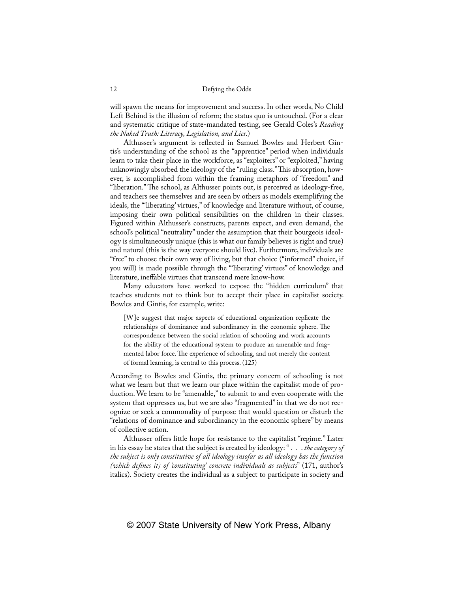will spawn the means for improvement and success. In other words, No Child Left Behind is the illusion of reform; the status quo is untouched. (For a clear and systematic critique of state-mandated testing, see Gerald Coles's *Reading the Naked Truth: Literacy, Legislation, and Lies*.)

Althusser's argument is reflected in Samuel Bowles and Herbert Gintis's understanding of the school as the "apprentice" period when individuals learn to take their place in the workforce, as "exploiters" or "exploited," having unknowingly absorbed the ideology of the "ruling class." This absorption, however, is accomplished from within the framing metaphors of "freedom" and "liberation." The school, as Althusser points out, is perceived as ideology-free, and teachers see themselves and are seen by others as models exemplifying the ideals, the "'liberating' virtues," of knowledge and literature without, of course, imposing their own political sensibilities on the children in their classes. Figured within Althusser's constructs, parents expect, and even demand, the school's political "neutrality" under the assumption that their bourgeois ideology is simultaneously unique (this is what our family believes is right and true) and natural (this is the way everyone should live). Furthermore, individuals are "free" to choose their own way of living, but that choice ("informed" choice, if you will) is made possible through the "'liberating' virtues" of knowledge and literature, ineffable virtues that transcend mere know-how.

Many educators have worked to expose the "hidden curriculum" that teaches students not to think but to accept their place in capitalist society. Bowles and Gintis, for example, write:

[W]e suggest that major aspects of educational organization replicate the relationships of dominance and subordinancy in the economic sphere. The correspondence between the social relation of schooling and work accounts for the ability of the educational system to produce an amenable and fragmented labor force. The experience of schooling, and not merely the content of formal learning, is central to this process. (125)

According to Bowles and Gintis, the primary concern of schooling is not what we learn but that we learn our place within the capitalist mode of production. We learn to be "amenable," to submit to and even cooperate with the system that oppresses us, but we are also "fragmented" in that we do not recognize or seek a commonality of purpose that would question or disturb the "relations of dominance and subordinancy in the economic sphere" by means of collective action.

Althusser offers little hope for resistance to the capitalist "regime." Later in his essay he states that the subject is created by ideology: " . . . *the category of the subject is only constitutive of all ideology insofar as all ideology has the function*  (which defines it) of 'constituting' concrete individuals as subjects" (171, author's italics). Society creates the individual as a subject to participate in society and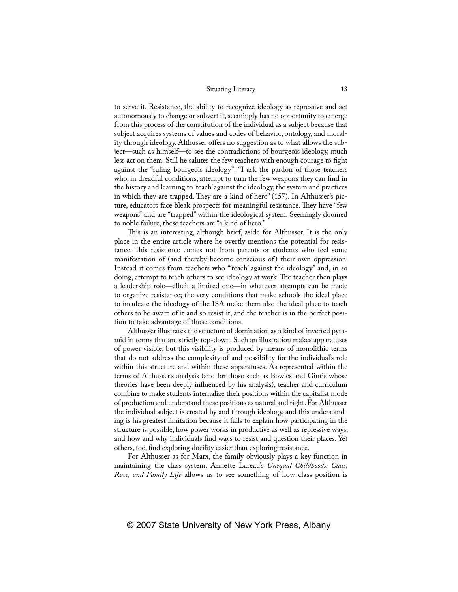to serve it. Resistance, the ability to recognize ideology as repressive and act autonomously to change or subvert it, seemingly has no opportunity to emerge from this process of the constitution of the individual as a subject because that subject acquires systems of values and codes of behavior, ontology, and morality through ideology. Althusser offers no suggestion as to what allows the subject—such as himself—to see the contradictions of bourgeois ideology, much less act on them. Still he salutes the few teachers with enough courage to fight against the "ruling bourgeois ideology": "I ask the pardon of those teachers who, in dreadful conditions, attempt to turn the few weapons they can find in the history and learning to 'teach' against the ideology, the system and practices in which they are trapped. They are a kind of hero" (157). In Althusser's picture, educators face bleak prospects for meaningful resistance. They have "few weapons" and are "trapped" within the ideological system. Seemingly doomed to noble failure, these teachers are "a kind of hero."

This is an interesting, although brief, aside for Althusser. It is the only place in the entire article where he overtly mentions the potential for resistance. This resistance comes not from parents or students who feel some manifestation of (and thereby become conscious of) their own oppression. Instead it comes from teachers who "'teach' against the ideology" and, in so doing, attempt to teach others to see ideology at work. The teacher then plays a leadership role—albeit a limited one—in whatever attempts can be made to organize resistance; the very conditions that make schools the ideal place to inculcate the ideology of the ISA make them also the ideal place to teach others to be aware of it and so resist it, and the teacher is in the perfect position to take advantage of those conditions.

Althusser illustrates the structure of domination as a kind of inverted pyramid in terms that are strictly top-down. Such an illustration makes apparatuses of power visible, but this visibility is produced by means of monolithic terms that do not address the complexity of and possibility for the individual's role within this structure and within these apparatuses. As represented within the terms of Althusser's analysis (and for those such as Bowles and Gintis whose theories have been deeply influenced by his analysis), teacher and curriculum combine to make students internalize their positions within the capitalist mode of production and understand these positions as natural and right. For Althusser the individual subject is created by and through ideology, and this understanding is his greatest limitation because it fails to explain how participating in the structure is possible, how power works in productive as well as repressive ways, and how and why individuals find ways to resist and question their places. Yet others, too, find exploring docility easier than exploring resistance.

For Althusser as for Marx, the family obviously plays a key function in maintaining the class system. Annette Lareau's *Unequal Childhoods: Class, Race, and Family Life* allows us to see something of how class position is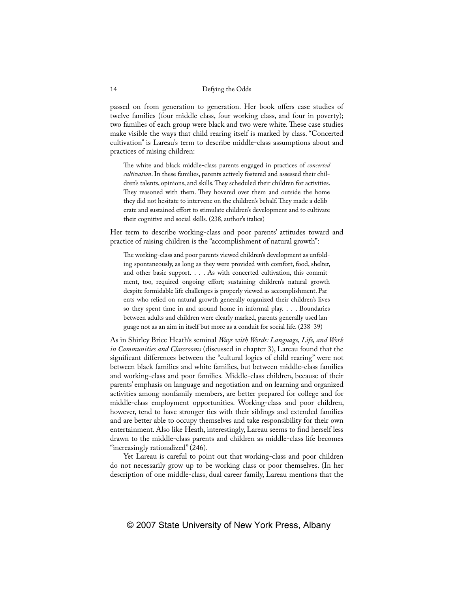passed on from generation to generation. Her book offers case studies of twelve families (four middle class, four working class, and four in poverty); two families of each group were black and two were white. These case studies make visible the ways that child rearing itself is marked by class. "Concerted cultivation" is Lareau's term to describe middle-class assumptions about and practices of raising children:

The white and black middle-class parents engaged in practices of *concerted cultivation*. In these families, parents actively fostered and assessed their children's talents, opinions, and skills. They scheduled their children for activities. They reasoned with them. They hovered over them and outside the home they did not hesitate to intervene on the children's behalf. They made a deliberate and sustained effort to stimulate children's development and to cultivate their cognitive and social skills. (238, author's italics)

Her term to describe working-class and poor parents' attitudes toward and practice of raising children is the "accomplishment of natural growth":

The working-class and poor parents viewed children's development as unfolding spontaneously, as long as they were provided with comfort, food, shelter, and other basic support. . . . As with concerted cultivation, this commitment, too, required ongoing effort; sustaining children's natural growth despite formidable life challenges is properly viewed as accomplishment. Parents who relied on natural growth generally organized their children's lives so they spent time in and around home in informal play. . . . Boundaries between adults and children were clearly marked, parents generally used language not as an aim in itself but more as a conduit for social life. (238–39)

As in Shirley Brice Heath's seminal *Ways with Words: Language, Life, and Work in Communities and Classrooms* (discussed in chapter 3), Lareau found that the significant differences between the "cultural logics of child rearing" were not between black families and white families, but between middle-class families and working-class and poor families. Middle-class children, because of their parents' emphasis on language and negotiation and on learning and organized activities among nonfamily members, are better prepared for college and for middle-class employment opportunities. Working-class and poor children, however, tend to have stronger ties with their siblings and extended families and are better able to occupy themselves and take responsibility for their own entertainment. Also like Heath, interestingly, Lareau seems to find herself less drawn to the middle-class parents and children as middle-class life becomes "increasingly rationalized" (246).

Yet Lareau is careful to point out that working-class and poor children do not necessarily grow up to be working class or poor themselves. (In her description of one middle-class, dual career family, Lareau mentions that the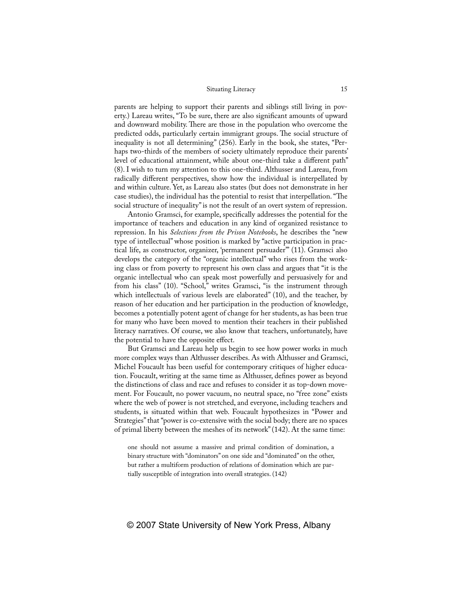parents are helping to support their parents and siblings still living in poverty.) Lareau writes, "To be sure, there are also significant amounts of upward and downward mobility. There are those in the population who overcome the predicted odds, particularly certain immigrant groups. The social structure of inequality is not all determining" (256). Early in the book, she states, "Perhaps two-thirds of the members of society ultimately reproduce their parents' level of educational attainment, while about one-third take a different path" (8). I wish to turn my attention to this one-third. Althusser and Lareau, from radically different perspectives, show how the individual is interpellated by and within culture. Yet, as Lareau also states (but does not demonstrate in her case studies), the individual has the potential to resist that interpellation. "The social structure of inequality" is not the result of an overt system of repression.

Antonio Gramsci, for example, specifically addresses the potential for the importance of teachers and education in any kind of organized resistance to repression. In his *Selections from the Prison Notebooks*, he describes the "new type of intellectual" whose position is marked by "active participation in practical life, as constructor, organizer, 'permanent persuader'" (11). Gramsci also develops the category of the "organic intellectual" who rises from the working class or from poverty to represent his own class and argues that "it is the organic intellectual who can speak most powerfully and persuasively for and from his class" (10). "School," writes Gramsci, "is the instrument through which intellectuals of various levels are elaborated" (10), and the teacher, by reason of her education and her participation in the production of knowledge, becomes a potentially potent agent of change for her students, as has been true for many who have been moved to mention their teachers in their published literacy narratives. Of course, we also know that teachers, unfortunately, have the potential to have the opposite effect.

But Gramsci and Lareau help us begin to see how power works in much more complex ways than Althusser describes. As with Althusser and Gramsci, Michel Foucault has been useful for contemporary critiques of higher education. Foucault, writing at the same time as Althusser, defines power as beyond the distinctions of class and race and refuses to consider it as top-down movement. For Foucault, no power vacuum, no neutral space, no "free zone" exists where the web of power is not stretched, and everyone, including teachers and students, is situated within that web. Foucault hypothesizes in "Power and Strategies" that "power is co-extensive with the social body; there are no spaces of primal liberty between the meshes of its network" (142). At the same time:

one should not assume a massive and primal condition of domination, a binary structure with "dominators" on one side and "dominated" on the other, but rather a multiform production of relations of domination which are partially susceptible of integration into overall strategies. (142)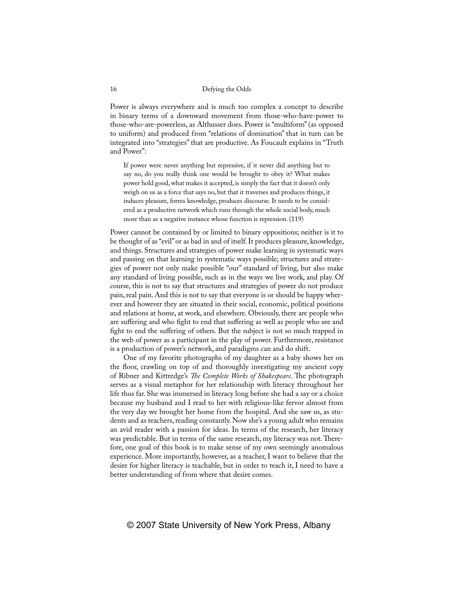Power is always everywhere and is much too complex a concept to describe in binary terms of a downward movement from those-who-have-power to those-who-are-powerless, as Althusser does. Power is "multiform" (as opposed to uniform) and produced from "relations of domination" that in turn can be integrated into "strategies" that are productive. As Foucault explains in "Truth and Power":

If power were never anything but repressive, if it never did anything but to say no, do you really think one would be brought to obey it? What makes power hold good, what makes it accepted, is simply the fact that it doesn't only weigh on us as a force that says no, but that it traverses and produces things, it induces pleasure, forms knowledge, produces discourse. It needs to be considered as a productive network which runs through the whole social body, much more than as a negative instance whose function is repression. (119)

Power cannot be contained by or limited to binary oppositions; neither is it to be thought of as "evil" or as bad in and of itself. It produces pleasure, knowledge, and things. Structures and strategies of power make learning in systematic ways and passing on that learning in systematic ways possible; structures and strategies of power not only make possible "our" standard of living, but also make any standard of living possible, such as in the ways we live work, and play. Of course, this is not to say that structures and strategies of power do not produce pain, real pain. And this is not to say that everyone is or should be happy wherever and however they are situated in their social, economic, political positions and relations at home, at work, and elsewhere. Obviously, there are people who are suffering and who fight to end that suffering as well as people who see and fight to end the suffering of others. But the subject is not so much trapped in the web of power as a participant in the play of power. Furthermore, resistance is a production of power's network, and paradigms can and do shift.

One of my favorite photographs of my daughter as a baby shows her on the floor, crawling on top of and thoroughly investigating my ancient copy of Ribner and Kittredge's *The Complete Works of Shakespeare*. The photograph serves as a visual metaphor for her relationship with literacy throughout her life thus far. She was immersed in literacy long before she had a say or a choice because my husband and I read to her with religious-like fervor almost from the very day we brought her home from the hospital. And she saw us, as students and as teachers, reading constantly. Now she's a young adult who remains an avid reader with a passion for ideas. In terms of the research, her literacy was predictable. But in terms of the same research, my literacy was not. Therefore, one goal of this book is to make sense of my own seemingly anomalous experience. More importantly, however, as a teacher, I want to believe that the desire for higher literacy is teachable, but in order to teach it, I need to have a better understanding of from where that desire comes.